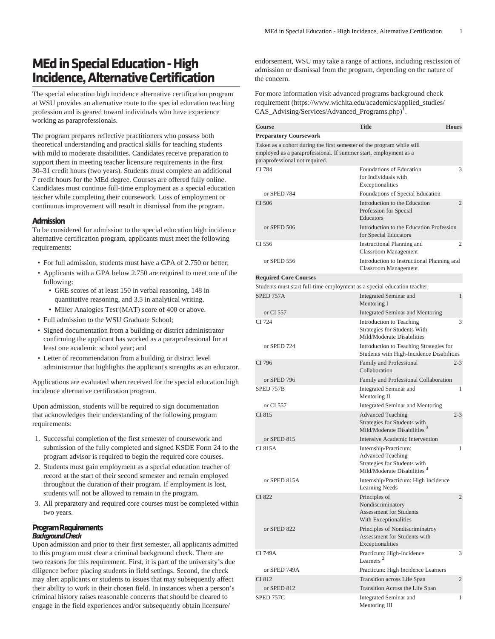## **MEd in Special Education - High Incidence, Alternative Certification**

The special education high incidence alternative certification program at WSU provides an alternative route to the special education teaching profession and is geared toward individuals who have experience working as paraprofessionals.

The program prepares reflective practitioners who possess both theoretical understanding and practical skills for teaching students with mild to moderate disabilities. Candidates receive preparation to support them in meeting teacher licensure requirements in the first 30–31 credit hours (two years). Students must complete an additional 7 credit hours for the MEd degree. Courses are offered fully online. Candidates must continue full-time employment as a special education teacher while completing their coursework. Loss of employment or continuous improvement will result in dismissal from the program.

## **Admission**

To be considered for admission to the special education high incidence alternative certification program, applicants must meet the following requirements:

- For full admission, students must have a GPA of 2.750 or better;
- Applicants with a GPA below 2.750 are required to meet one of the following:
	- GRE scores of at least 150 in verbal reasoning, 148 in quantitative reasoning, and 3.5 in analytical writing.
	- Miller Analogies Test (MAT) score of 400 or above.
- Full admission to the WSU Graduate School;
- Signed documentation from a building or district administrator confirming the applicant has worked as a paraprofessional for at least one academic school year; and
- Letter of recommendation from a building or district level administrator that highlights the applicant's strengths as an educator.

Applications are evaluated when received for the special education high incidence alternative certification program.

Upon admission, students will be required to sign documentation that acknowledges their understanding of the following program requirements:

- 1. Successful completion of the first semester of coursework and submission of the fully completed and signed KSDE Form 24 to the program advisor is required to begin the required core courses.
- 2. Students must gain employment as a special education teacher of record at the start of their second semester and remain employed throughout the duration of their program. If employment is lost, students will not be allowed to remain in the program.
- 3. All preparatory and required core courses must be completed within two years.

## **Program Requirements** *Background Check*

Upon admission and prior to their first semester, all applicants admitted to this program must clear a criminal background check. There are two reasons for this requirement. First, it is part of the university's due diligence before placing students in field settings. Second, the check may alert applicants or students to issues that may subsequently affect their ability to work in their chosen field. In instances when a person's criminal history raises reasonable concerns that should be cleared to engage in the field experiences and/or subsequently obtain licensure/

endorsement, WSU may take a range of actions, including rescission of admission or dismissal from the program, depending on the nature of the concern.

For more information visit [advanced programs background check](https://www.wichita.edu/academics/applied_studies/CAS_Advising/Services/Advanced_Programs.php) [requirement](https://www.wichita.edu/academics/applied_studies/CAS_Advising/Services/Advanced_Programs.php) ([https://www.wichita.edu/academics/applied\\_studies/](https://www.wichita.edu/academics/applied_studies/CAS_Advising/Services/Advanced_Programs.php) [CAS\\_Advising/Services/Advanced\\_Programs.php\)](https://www.wichita.edu/academics/applied_studies/CAS_Advising/Services/Advanced_Programs.php) 1 .

| <b>Course</b>                                                                                                                                                                | <b>Title</b>                                                                                                                 | <b>Hours</b>   |
|------------------------------------------------------------------------------------------------------------------------------------------------------------------------------|------------------------------------------------------------------------------------------------------------------------------|----------------|
| <b>Preparatory Coursework</b>                                                                                                                                                |                                                                                                                              |                |
| Taken as a cohort during the first semester of the program while still<br>employed as a paraprofessional. If summer start, employment as a<br>paraprofessional not required. |                                                                                                                              |                |
| CI 784                                                                                                                                                                       | Foundations of Education<br>for Individuals with<br>Exceptionalities                                                         | 3              |
| or SPED 784                                                                                                                                                                  | Foundations of Special Education                                                                                             |                |
| CI 506                                                                                                                                                                       | Introduction to the Education<br>Profession for Special<br>Educators                                                         | $\overline{c}$ |
| or SPED 506                                                                                                                                                                  | Introduction to the Education Profession<br>for Special Educators                                                            |                |
| CI 556                                                                                                                                                                       | Instructional Planning and<br>Classroom Management                                                                           | 2              |
| or SPED 556                                                                                                                                                                  | Introduction to Instructional Planning and<br>Classroom Management                                                           |                |
| <b>Required Core Courses</b>                                                                                                                                                 |                                                                                                                              |                |
| Students must start full-time employment as a special education teacher.                                                                                                     |                                                                                                                              |                |
| SPED 757A                                                                                                                                                                    | Integrated Seminar and<br>Mentoring I                                                                                        | $\mathbf{1}$   |
| or CI 557                                                                                                                                                                    | Integrated Seminar and Mentoring                                                                                             |                |
| CI 724                                                                                                                                                                       | Introduction to Teaching<br>Strategies for Students With<br>Mild/Moderate Disabilities                                       | 3              |
| or SPED 724                                                                                                                                                                  | Introduction to Teaching Strategies for<br>Students with High-Incidence Disabilities                                         |                |
| CI 796                                                                                                                                                                       | Family and Professional<br>Collaboration                                                                                     | $2 - 3$        |
| or SPED 796                                                                                                                                                                  | Family and Professional Collaboration                                                                                        |                |
| SPED 757B                                                                                                                                                                    | Integrated Seminar and<br>Mentoring II                                                                                       | 1              |
| or CI 557<br>CI 815                                                                                                                                                          | Integrated Seminar and Mentoring                                                                                             | $2 - 3$        |
|                                                                                                                                                                              | <b>Advanced Teaching</b><br>Strategies for Students with<br>Mild/Moderate Disabilities <sup>3</sup>                          |                |
| or SPED 815                                                                                                                                                                  | Intensive Academic Intervention                                                                                              |                |
| CI 815A                                                                                                                                                                      | Internship/Practicum:<br><b>Advanced Teaching</b><br>Strategies for Students with<br>Mild/Moderate Disabilities <sup>4</sup> | 1              |
| or SPED 815A                                                                                                                                                                 | Internship/Practicum: High Incidence<br><b>Learning Needs</b>                                                                |                |
| CI 822                                                                                                                                                                       | Principles of<br>Nondiscriminatory<br><b>Assessment for Students</b><br>With Exceptionalities                                | $\overline{c}$ |
| or SPED 822                                                                                                                                                                  | Principles of Nondiscriminatroy<br>Assessment for Students with<br>Exceptionalities                                          |                |
| CI 749A                                                                                                                                                                      | Practicum: High-Incidence<br>Learners <sup>2</sup>                                                                           | 3              |
| or SPED 749A                                                                                                                                                                 | Practicum: High Incidence Learners                                                                                           |                |
| CI 812                                                                                                                                                                       | Transition across Life Span                                                                                                  | $\overline{c}$ |
| or SPED 812                                                                                                                                                                  | Transition Across the Life Span                                                                                              |                |
| SPED 757C                                                                                                                                                                    | Integrated Seminar and<br>Mentoring III                                                                                      | 1              |